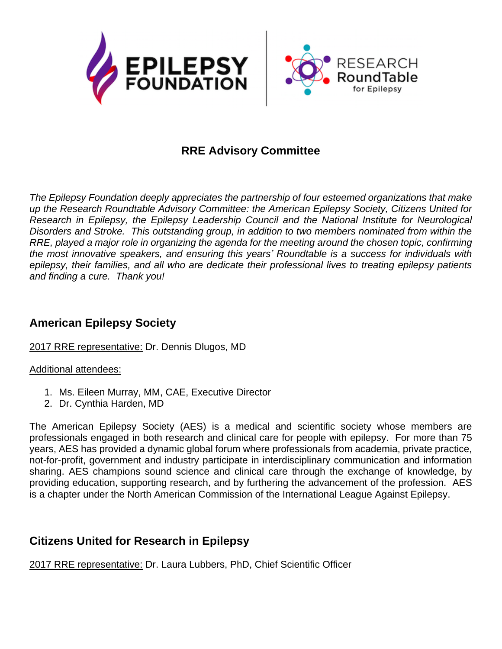

# **RRE Advisory Committee**

*The Epilepsy Foundation deeply appreciates the partnership of four esteemed organizations that make up the Research Roundtable Advisory Committee: the American Epilepsy Society, Citizens United for Research in Epilepsy, the Epilepsy Leadership Council and the National Institute for Neurological Disorders and Stroke. This outstanding group, in addition to two members nominated from within the RRE, played a major role in organizing the agenda for the meeting around the chosen topic, confirming the most innovative speakers, and ensuring this years' Roundtable is a success for individuals with epilepsy, their families, and all who are dedicate their professional lives to treating epilepsy patients and finding a cure. Thank you!*

## **American Epilepsy Society**

#### 2017 RRE representative: Dr. Dennis Dlugos, MD

Additional attendees:

- 1. Ms. Eileen Murray, MM, CAE, Executive Director
- 2. Dr. Cynthia Harden, MD

The American Epilepsy Society (AES) is a medical and scientific society whose members are professionals engaged in both research and clinical care for people with epilepsy. For more than 75 years, AES has provided a dynamic global forum where professionals from academia, private practice, not-for-profit, government and industry participate in interdisciplinary communication and information sharing. AES champions sound science and clinical care through the exchange of knowledge, by providing education, supporting research, and by furthering the advancement of the profession. AES is a chapter under the North American Commission of the International League Against Epilepsy.

### **Citizens United for Research in Epilepsy**

2017 RRE representative: Dr. Laura Lubbers, PhD, Chief Scientific Officer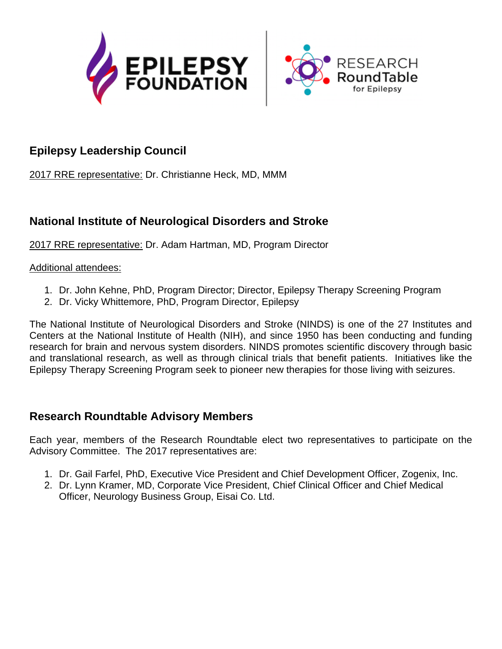



# **Epilepsy Leadership Council**

2017 RRE representative: Dr. Christianne Heck, MD, MMM

## **National Institute of Neurological Disorders and Stroke**

2017 RRE representative: Dr. Adam Hartman, MD, Program Director

#### Additional attendees:

- 1. Dr. John Kehne, PhD, Program Director; Director, Epilepsy Therapy Screening Program
- 2. Dr. Vicky Whittemore, PhD, Program Director, Epilepsy

The National Institute of Neurological Disorders and Stroke (NINDS) is one of the 27 Institutes and Centers at the National Institute of Health (NIH), and since 1950 has been conducting and funding research for brain and nervous system disorders. NINDS promotes scientific discovery through basic and translational research, as well as through clinical trials that benefit patients. Initiatives like the Epilepsy Therapy Screening Program seek to pioneer new therapies for those living with seizures.

# **Research Roundtable Advisory Members**

Each year, members of the Research Roundtable elect two representatives to participate on the Advisory Committee. The 2017 representatives are:

- 1. Dr. Gail Farfel, PhD, Executive Vice President and Chief Development Officer, Zogenix, Inc.
- 2. Dr. Lynn Kramer, MD, Corporate Vice President, Chief Clinical Officer and Chief Medical Officer, Neurology Business Group, Eisai Co. Ltd.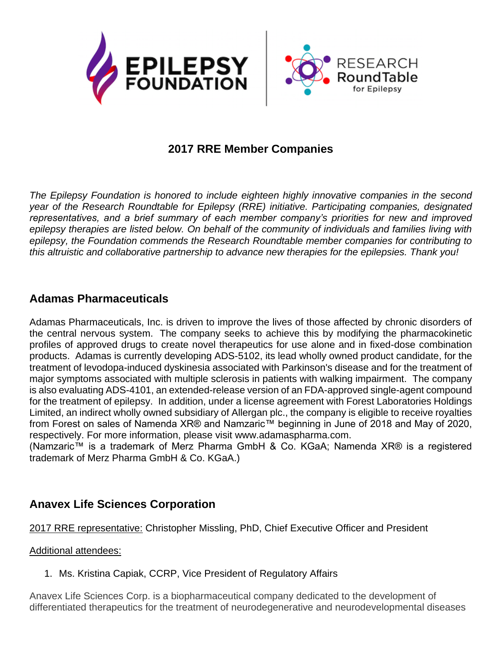

### **2017 RRE Member Companies**

*The Epilepsy Foundation is honored to include eighteen highly innovative companies in the second year of the Research Roundtable for Epilepsy (RRE) initiative. Participating companies, designated representatives, and a brief summary of each member company's priorities for new and improved epilepsy therapies are listed below. On behalf of the community of individuals and families living with epilepsy, the Foundation commends the Research Roundtable member companies for contributing to this altruistic and collaborative partnership to advance new therapies for the epilepsies. Thank you!*

### **Adamas Pharmaceuticals**

Adamas Pharmaceuticals, Inc. is driven to improve the lives of those affected by chronic disorders of the central nervous system. The company seeks to achieve this by modifying the pharmacokinetic profiles of approved drugs to create novel therapeutics for use alone and in fixed-dose combination products. Adamas is currently developing ADS-5102, its lead wholly owned product candidate, for the treatment of levodopa-induced dyskinesia associated with Parkinson's disease and for the treatment of major symptoms associated with multiple sclerosis in patients with walking impairment. The company is also evaluating ADS-4101, an extended-release version of an FDA-approved single-agent compound for the treatment of epilepsy. In addition, under a license agreement with Forest Laboratories Holdings Limited, an indirect wholly owned subsidiary of Allergan plc., the company is eligible to receive royalties from Forest on sales of Namenda XR® and Namzaric™ beginning in June of 2018 and May of 2020, respectively. For more information, please visit www.adamaspharma.com.

(Namzaric™ is a trademark of Merz Pharma GmbH & Co. KGaA; Namenda XR® is a registered trademark of Merz Pharma GmbH & Co. KGaA.)

### **Anavex Life Sciences Corporation**

2017 RRE representative: Christopher Missling, PhD, Chief Executive Officer and President

#### Additional attendees:

1. Ms. Kristina Capiak, CCRP, Vice President of Regulatory Affairs

Anavex Life Sciences Corp. is a biopharmaceutical company dedicated to the development of differentiated therapeutics for the treatment of neurodegenerative and neurodevelopmental diseases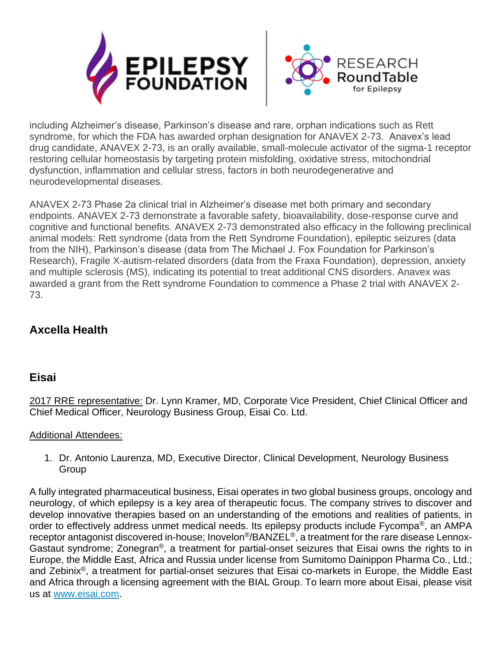

including Alzheimer's disease, Parkinson's disease and rare, orphan indications such as Rett syndrome, for which the FDA has awarded orphan designation for ANAVEX 2-73. Anavex's lead drug candidate, ANAVEX 2-73, is an orally available, small-molecule activator of the sigma-1 receptor restoring cellular homeostasis by targeting protein misfolding, oxidative stress, mitochondrial dysfunction, inflammation and cellular stress, factors in both neurodegenerative and neurodevelopmental diseases.

ANAVEX 2-73 Phase 2a clinical trial in Alzheimer's disease met both primary and secondary endpoints. ANAVEX 2-73 demonstrate a favorable safety, bioavailability, dose-response curve and cognitive and functional benefits. ANAVEX 2-73 demonstrated also efficacy in the following preclinical animal models: Rett syndrome (data from the Rett Syndrome Foundation), epileptic seizures (data from the NIH), Parkinson's disease (data from The Michael J. Fox Foundation for Parkinson's Research), Fragile X-autism-related disorders (data from the Fraxa Foundation), depression, anxiety and multiple sclerosis (MS), indicating its potential to treat additional CNS disorders. Anavex was awarded a grant from the Rett syndrome Foundation to commence a Phase 2 trial with ANAVEX 2- 73.

# **Axcella Health**

### **Eisai**

2017 RRE representative: Dr. Lynn Kramer, MD, Corporate Vice President, Chief Clinical Officer and Chief Medical Officer, Neurology Business Group, Eisai Co. Ltd.

#### Additional Attendees:

1. Dr. Antonio Laurenza, MD, Executive Director, Clinical Development, Neurology Business **Group** 

A fully integrated pharmaceutical business, Eisai operates in two global business groups, oncology and neurology, of which epilepsy is a key area of therapeutic focus. The company strives to discover and develop innovative therapies based on an understanding of the emotions and realities of patients, in order to effectively address unmet medical needs. Its epilepsy products include Fycompa®, an AMPA receptor antagonist discovered in-house; Inovelon®/BANZEL®, a treatment for the rare disease Lennox-Gastaut syndrome; Zonegran®, a treatment for partial-onset seizures that Eisai owns the rights to in Europe, the Middle East, Africa and Russia under license from Sumitomo Dainippon Pharma Co., Ltd.; and Zebinix®, a treatment for partial-onset seizures that Eisai co-markets in Europe, the Middle East and Africa through a licensing agreement with the BIAL Group. To learn more about Eisai, please visit us at [www.eisai.com.](http://www.eisai.com/)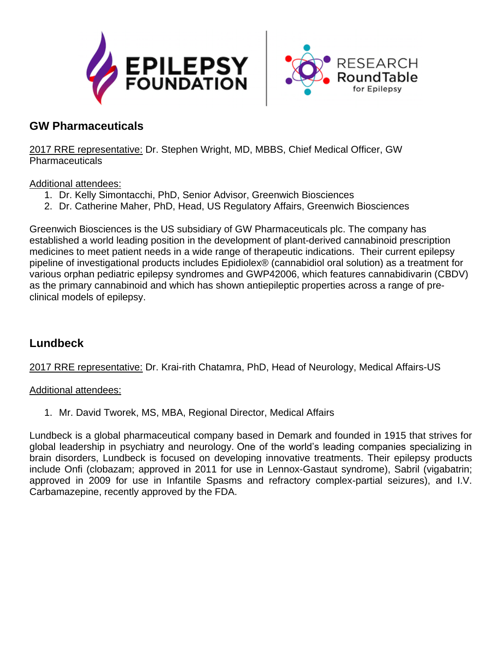



### **GW Pharmaceuticals**

2017 RRE representative: Dr. Stephen Wright, MD, MBBS, Chief Medical Officer, GW Pharmaceuticals

#### Additional attendees:

- 1. Dr. Kelly Simontacchi, PhD, Senior Advisor, Greenwich Biosciences
- 2. Dr. Catherine Maher, PhD, Head, US Regulatory Affairs, Greenwich Biosciences

Greenwich Biosciences is the US subsidiary of GW Pharmaceuticals plc. The company has established a world leading position in the development of plant-derived cannabinoid prescription medicines to meet patient needs in a wide range of therapeutic indications. Their current epilepsy pipeline of investigational products includes Epidiolex® (cannabidiol oral solution) as a treatment for various orphan pediatric epilepsy syndromes and GWP42006, which features cannabidivarin (CBDV) as the primary cannabinoid and which has shown antiepileptic properties across a range of preclinical models of epilepsy.

### **Lundbeck**

2017 RRE representative: Dr. Krai-rith Chatamra, PhD, Head of Neurology, Medical Affairs-US

#### Additional attendees:

1. Mr. David Tworek, MS, MBA, Regional Director, Medical Affairs

Lundbeck is a global pharmaceutical company based in Demark and founded in 1915 that strives for global leadership in psychiatry and neurology. One of the world's leading companies specializing in brain disorders, Lundbeck is focused on developing innovative treatments. Their epilepsy products include Onfi (clobazam; approved in 2011 for use in Lennox-Gastaut syndrome), Sabril (vigabatrin; approved in 2009 for use in Infantile Spasms and refractory complex-partial seizures), and I.V. Carbamazepine, recently approved by the FDA.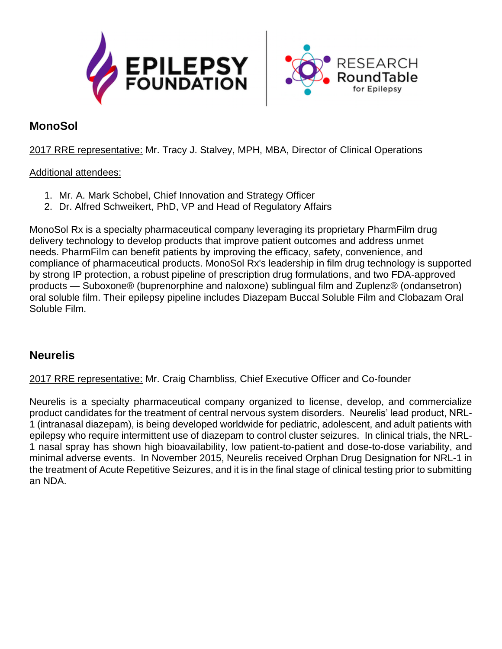



### **MonoSol**

2017 RRE representative: Mr. Tracy J. Stalvey, MPH, MBA, Director of Clinical Operations

#### Additional attendees:

- 1. Mr. A. Mark Schobel, Chief Innovation and Strategy Officer
- 2. Dr. Alfred Schweikert, PhD, VP and Head of Regulatory Affairs

MonoSol Rx is a specialty pharmaceutical company leveraging its proprietary PharmFilm drug delivery technology to develop products that improve patient outcomes and address unmet needs. PharmFilm can benefit patients by improving the efficacy, safety, convenience, and compliance of pharmaceutical products. MonoSol Rx's leadership in film drug technology is supported by strong IP protection, a robust pipeline of prescription drug formulations, and two FDA-approved products — Suboxone® (buprenorphine and naloxone) sublingual film and Zuplenz® (ondansetron) oral soluble film. Their epilepsy pipeline includes Diazepam Buccal Soluble Film and Clobazam Oral Soluble Film.

### **Neurelis**

2017 RRE representative: Mr. Craig Chambliss, Chief Executive Officer and Co-founder

Neurelis is a specialty pharmaceutical company organized to license, develop, and commercialize product candidates for the treatment of central nervous system disorders. Neurelis' lead product, NRL-1 (intranasal diazepam), is being developed worldwide for pediatric, adolescent, and adult patients with epilepsy who require intermittent use of diazepam to control cluster seizures. In clinical trials, the NRL-1 nasal spray has shown high bioavailability, low patient-to-patient and dose-to-dose variability, and minimal adverse events. In November 2015, Neurelis received Orphan Drug Designation for NRL-1 in the treatment of Acute Repetitive Seizures, and it is in the final stage of clinical testing prior to submitting an NDA.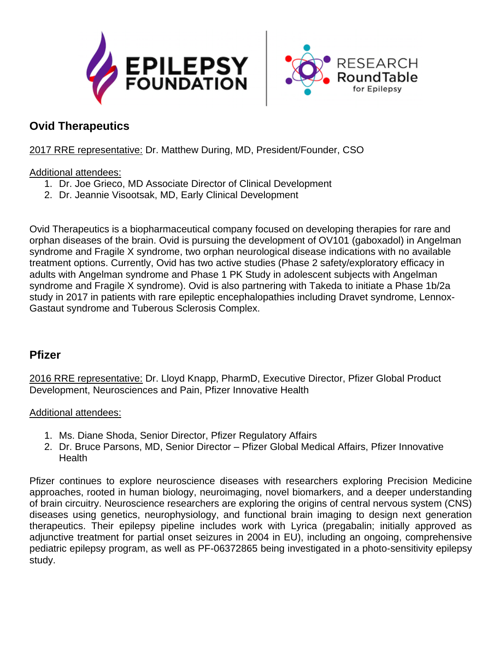



### **Ovid Therapeutics**

#### 2017 RRE representative: Dr. Matthew During, MD, President/Founder, CSO

#### Additional attendees:

- 1. Dr. Joe Grieco, MD Associate Director of Clinical Development
- 2. Dr. Jeannie Visootsak, MD, Early Clinical Development

Ovid Therapeutics is a biopharmaceutical company focused on developing therapies for rare and orphan diseases of the brain. Ovid is pursuing the development of OV101 (gaboxadol) in Angelman syndrome and Fragile X syndrome, two orphan neurological disease indications with no available treatment options. Currently, Ovid has two active studies (Phase 2 safety/exploratory efficacy in adults with Angelman syndrome and Phase 1 PK Study in adolescent subjects with Angelman syndrome and Fragile X syndrome). Ovid is also partnering with Takeda to initiate a Phase 1b/2a study in 2017 in patients with rare epileptic encephalopathies including Dravet syndrome, Lennox-Gastaut syndrome and Tuberous Sclerosis Complex.

### **Pfizer**

2016 RRE representative: Dr. Lloyd Knapp, PharmD, Executive Director, Pfizer Global Product Development, Neurosciences and Pain, Pfizer Innovative Health

#### Additional attendees:

- 1. Ms. Diane Shoda, Senior Director, Pfizer Regulatory Affairs
- 2. Dr. Bruce Parsons, MD, Senior Director Pfizer Global Medical Affairs, Pfizer Innovative **Health**

Pfizer continues to explore neuroscience diseases with researchers exploring Precision Medicine approaches, rooted in human biology, neuroimaging, novel biomarkers, and a deeper understanding of brain circuitry. Neuroscience researchers are exploring the origins of central nervous system (CNS) diseases using genetics, neurophysiology, and functional brain imaging to design next generation therapeutics. Their epilepsy pipeline includes work with Lyrica (pregabalin; initially approved as adjunctive treatment for partial onset seizures in 2004 in EU), including an ongoing, comprehensive pediatric epilepsy program, as well as PF-06372865 being investigated in a photo-sensitivity epilepsy study.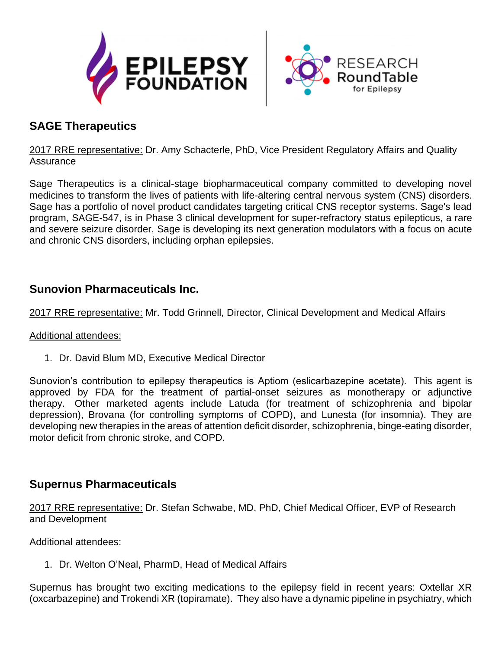



## **SAGE Therapeutics**

2017 RRE representative: Dr. Amy Schacterle, PhD, Vice President Regulatory Affairs and Quality **Assurance** 

Sage Therapeutics is a clinical-stage biopharmaceutical company committed to developing novel medicines to transform the lives of patients with life-altering central nervous system (CNS) disorders. Sage has a portfolio of novel product candidates targeting critical CNS receptor systems. Sage's lead program, SAGE-547, is in Phase 3 clinical development for super-refractory status epilepticus, a rare and severe seizure disorder. Sage is developing its next generation modulators with a focus on acute and chronic CNS disorders, including orphan epilepsies.

### **Sunovion Pharmaceuticals Inc.**

2017 RRE representative: Mr. Todd Grinnell, Director, Clinical Development and Medical Affairs

#### Additional attendees:

1. Dr. David Blum MD, Executive Medical Director

Sunovion's contribution to epilepsy therapeutics is Aptiom (eslicarbazepine acetate). This agent is approved by FDA for the treatment of partial-onset seizures as monotherapy or adjunctive therapy. Other marketed agents include Latuda (for treatment of schizophrenia and bipolar depression), Brovana (for controlling symptoms of COPD), and Lunesta (for insomnia). They are developing new therapies in the areas of attention deficit disorder, schizophrenia, binge-eating disorder, motor deficit from chronic stroke, and COPD.

### **Supernus Pharmaceuticals**

2017 RRE representative: Dr. Stefan Schwabe, MD, PhD, Chief Medical Officer, EVP of Research and Development

Additional attendees:

1. Dr. Welton O'Neal, PharmD, Head of Medical Affairs

Supernus has brought two exciting medications to the epilepsy field in recent years: Oxtellar XR (oxcarbazepine) and Trokendi XR (topiramate). They also have a dynamic pipeline in psychiatry, which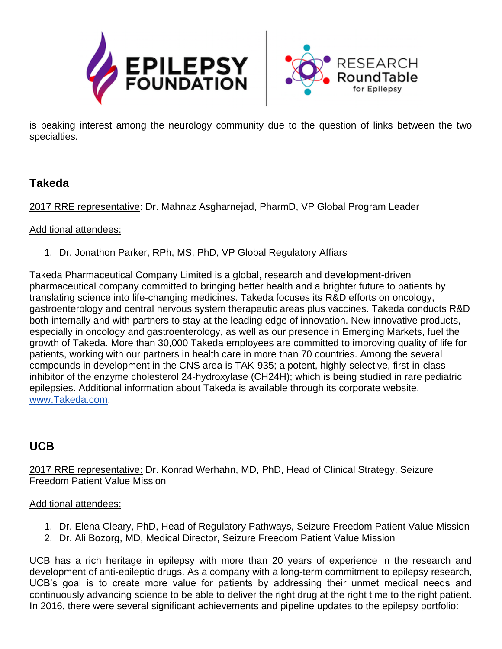



is peaking interest among the neurology community due to the question of links between the two specialties.

### **Takeda**

2017 RRE representative: Dr. Mahnaz Asgharnejad, PharmD, VP Global Program Leader

#### Additional attendees:

1. Dr. Jonathon Parker, RPh, MS, PhD, VP Global Regulatory Affiars

Takeda Pharmaceutical Company Limited is a global, research and development-driven pharmaceutical company committed to bringing better health and a brighter future to patients by translating science into life-changing medicines. Takeda focuses its R&D efforts on oncology, gastroenterology and central nervous system therapeutic areas plus vaccines. Takeda conducts R&D both internally and with partners to stay at the leading edge of innovation. New innovative products, especially in oncology and gastroenterology, as well as our presence in Emerging Markets, fuel the growth of Takeda. More than 30,000 Takeda employees are committed to improving quality of life for patients, working with our partners in health care in more than 70 countries. Among the several compounds in development in the CNS area is TAK-935; a potent, highly-selective, first-in-class inhibitor of the enzyme cholesterol 24-hydroxylase (CH24H); which is being studied in rare pediatric epilepsies. Additional information about Takeda is available through its corporate website, [www.Takeda.com.](http://www.takeda.com/)

### **UCB**

2017 RRE representative: Dr. Konrad Werhahn, MD, PhD, Head of Clinical Strategy, Seizure Freedom Patient Value Mission

#### Additional attendees:

- 1. Dr. Elena Cleary, PhD, Head of Regulatory Pathways, Seizure Freedom Patient Value Mission
- 2. Dr. Ali Bozorg, MD, Medical Director, Seizure Freedom Patient Value Mission

UCB has a rich heritage in epilepsy with more than 20 years of experience in the research and development of anti-epileptic drugs. As a company with a long-term commitment to epilepsy research, UCB's goal is to create more value for patients by addressing their unmet medical needs and continuously advancing science to be able to deliver the right drug at the right time to the right patient. In 2016, there were several significant achievements and pipeline updates to the epilepsy portfolio: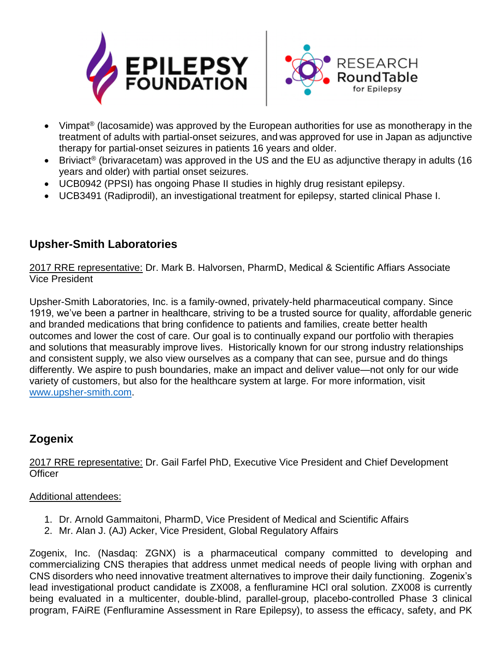



- Vimpat<sup>®</sup> (lacosamide) was approved by the European authorities for use as monotherapy in the treatment of adults with partial-onset seizures, and was approved for use in Japan as adjunctive therapy for partial-onset seizures in patients 16 years and older.
- Briviact<sup>®</sup> (brivaracetam) was approved in the US and the EU as adjunctive therapy in adults (16 years and older) with partial onset seizures.
- UCB0942 (PPSI) has ongoing Phase II studies in highly drug resistant epilepsy.
- UCB3491 (Radiprodil), an investigational treatment for epilepsy, started clinical Phase I.

# **Upsher-Smith Laboratories**

2017 RRE representative: Dr. Mark B. Halvorsen, PharmD, Medical & Scientific Affiars Associate Vice President

Upsher-Smith Laboratories, Inc. is a family-owned, privately-held pharmaceutical company. Since 1919, we've been a partner in healthcare, striving to be a trusted source for quality, affordable generic and branded medications that bring confidence to patients and families, create better health outcomes and lower the cost of care. Our goal is to continually expand our portfolio with therapies and solutions that measurably improve lives. Historically known for our strong industry relationships and consistent supply, we also view ourselves as a company that can see, pursue and do things differently. We aspire to push boundaries, make an impact and deliver value—not only for our wide variety of customers, but also for the healthcare system at large. For more information, visit [www.upsher-smith.com.](http://www.upsher-smith.com/)

# **Zogenix**

2017 RRE representative: Dr. Gail Farfel PhD, Executive Vice President and Chief Development **Officer** 

#### Additional attendees:

- 1. Dr. Arnold Gammaitoni, PharmD, Vice President of Medical and Scientific Affairs
- 2. Mr. Alan J. (AJ) Acker, Vice President, Global Regulatory Affairs

Zogenix, Inc. (Nasdaq: ZGNX) is a pharmaceutical company committed to developing and commercializing CNS therapies that address unmet medical needs of people living with orphan and CNS disorders who need innovative treatment alternatives to improve their daily functioning. Zogenix's lead investigational product candidate is ZX008, a fenfluramine HCl oral solution. ZX008 is currently being evaluated in a multicenter, double-blind, parallel-group, placebo-controlled Phase 3 clinical program, FAiRE (Fenfluramine Assessment in Rare Epilepsy), to assess the efficacy, safety, and PK